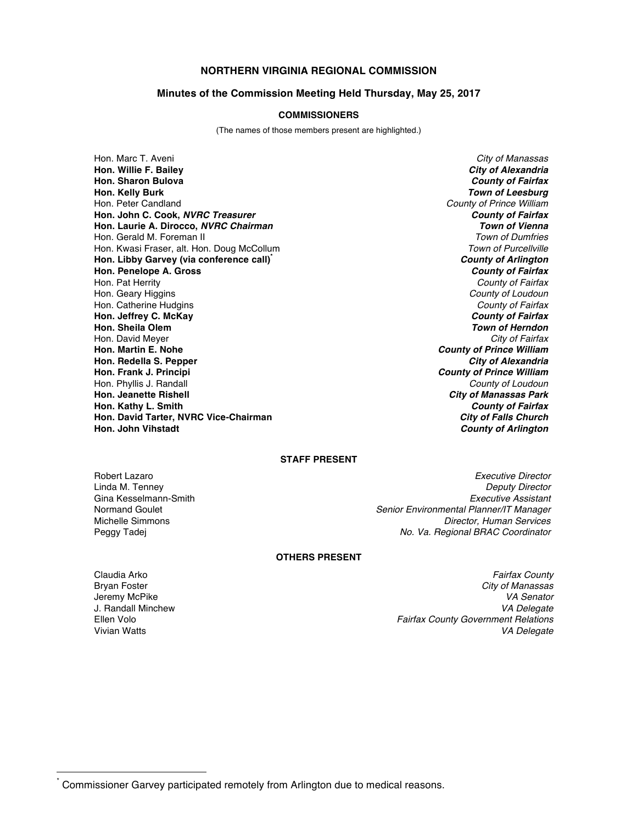## **NORTHERN VIRGINIA REGIONAL COMMISSION**

#### **Minutes of the Commission Meeting Held Thursday, May 25, 2017**

### **COMMISSIONERS**

(The names of those members present are highlighted.)

Hon. Marc T. Aveni *City of Manassas* **Hon. Willie F. Bailey** *City of Alexandria* **Hon. Sharon Bulova** *County of Fairfax* **Hon. Kelly Burk** *Town of Leesburg* Hon. Peter Candland *County of Prince William* **Hon. John C. Cook,** *NVRC Treasurer County of Fairfax* **Hon. Laurie A. Dirocco,** *NVRC Chairman* Hon. Gerald M. Foreman II *Town of Dumfries* Hon. Kwasi Fraser, alt. Hon. Doug McCollum **Hon. Libby Garvey (via conference call)\*** *County of Arlington* **Hon. Penelope A. Gross** *County of Fairfax* Hon. Pat Herrity *County of Fairfax* Hon. Geary Higgins *County of Loudoun* Hon. Catherine Hudgins *County of Fairfax* **Hon. Jeffrey C. McKay** *County of Fairfax* **Hon. Sheila Olem** *Town of Herndon* Hon. David Meyer *City of Fairfax* **Hon. Martin E. Nohe** *County of Prince William* **Hon. Redella S. Pepper Hon. Frank J. Principi** *County of Prince William* Hon. Phyllis J. Randall *County of Loudoun* **Hon. Jeanette Rishell** *City of Manassas Park* **Hon. Kathy L. Smith** *County of Fairfax* **Hon. David Tarter, NVRC Vice-Chairman** *City of Falls Church* **Hon. John Vihstadt** *County of Arlington*

# **STAFF PRESENT**

Robert Lazaro *Executive Director* Linda M. Tenney *Deputy Director* Gina Kesselmann-Smith *Executive Assistant* Normand Goulet *Senior Environmental Planner/IT Manager* **Director, Human Services** Peggy Tadej *No. Va. Regional BRAC Coordinator*

### **OTHERS PRESENT**

**J. Randall Minchew**<br>Fllen Volo

Claudia Arko *Fairfax County* Bryan Foster *City of Manassas* Jeremy McPike *VA Senator* **Fairfax County Government Relations** Vivian Watts *VA Delegate*

Commissioner Garvey participated remotely from Arlington due to medical reasons.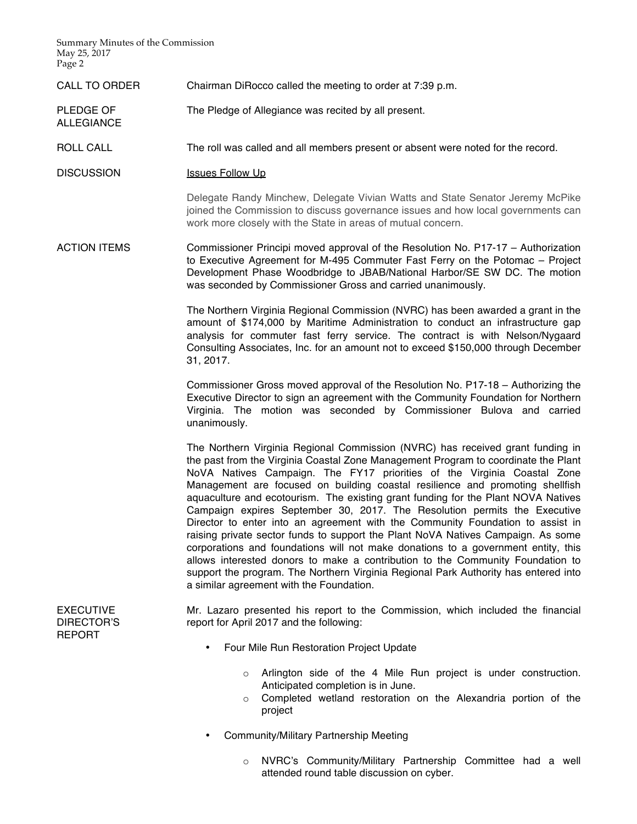Summary Minutes of the Commission May 25, 2017 Page 2

ALLEGIANCE

- CALL TO ORDER Chairman DiRocco called the meeting to order at 7:39 p.m.
- PLEDGE OF The Pledge of Allegiance was recited by all present.
- ROLL CALL The roll was called and all members present or absent were noted for the record.
- DISCUSSION Issues Follow Up

Delegate Randy Minchew, Delegate Vivian Watts and State Senator Jeremy McPike joined the Commission to discuss governance issues and how local governments can work more closely with the State in areas of mutual concern.

ACTION ITEMS Commissioner Principi moved approval of the Resolution No. P17-17 – Authorization to Executive Agreement for M-495 Commuter Fast Ferry on the Potomac – Project Development Phase Woodbridge to JBAB/National Harbor/SE SW DC. The motion was seconded by Commissioner Gross and carried unanimously.

> The Northern Virginia Regional Commission (NVRC) has been awarded a grant in the amount of \$174,000 by Maritime Administration to conduct an infrastructure gap analysis for commuter fast ferry service. The contract is with Nelson/Nygaard Consulting Associates, Inc. for an amount not to exceed \$150,000 through December 31, 2017.

> Commissioner Gross moved approval of the Resolution No. P17-18 – Authorizing the Executive Director to sign an agreement with the Community Foundation for Northern Virginia. The motion was seconded by Commissioner Bulova and carried unanimously.

> The Northern Virginia Regional Commission (NVRC) has received grant funding in the past from the Virginia Coastal Zone Management Program to coordinate the Plant NoVA Natives Campaign. The FY17 priorities of the Virginia Coastal Zone Management are focused on building coastal resilience and promoting shellfish aquaculture and ecotourism. The existing grant funding for the Plant NOVA Natives Campaign expires September 30, 2017. The Resolution permits the Executive Director to enter into an agreement with the Community Foundation to assist in raising private sector funds to support the Plant NoVA Natives Campaign. As some corporations and foundations will not make donations to a government entity, this allows interested donors to make a contribution to the Community Foundation to support the program. The Northern Virginia Regional Park Authority has entered into a similar agreement with the Foundation.

**EXECUTIVE** DIRECTOR'S REPORT

Mr. Lazaro presented his report to the Commission, which included the financial report for April 2017 and the following:

- Four Mile Run Restoration Project Update
	- $\circ$  Arlington side of the 4 Mile Run project is under construction. Anticipated completion is in June.
	- o Completed wetland restoration on the Alexandria portion of the project
- Community/Military Partnership Meeting
	- o NVRC's Community/Military Partnership Committee had a well attended round table discussion on cyber.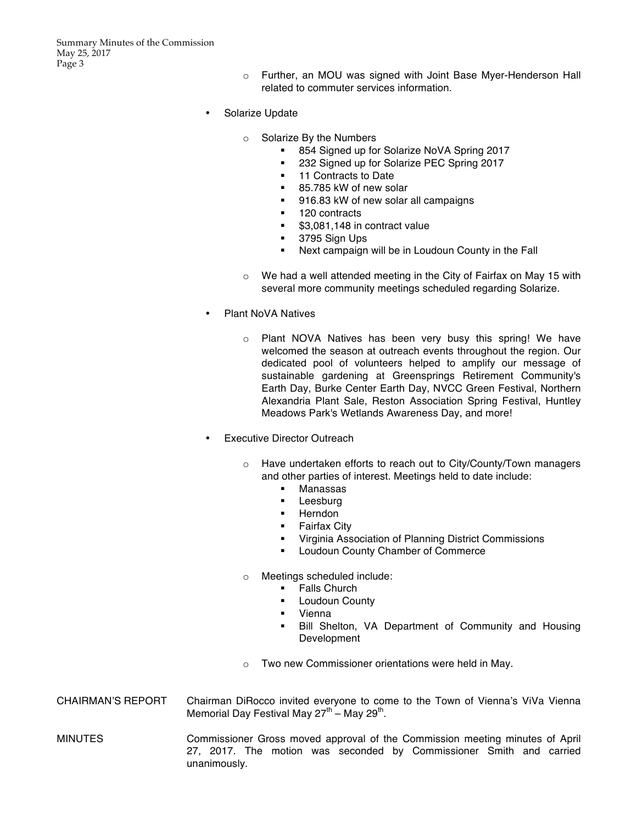- o Further, an MOU was signed with Joint Base Myer-Henderson Hall related to commuter services information.
- Solarize Update
	- o Solarize By the Numbers
		- 854 Signed up for Solarize NoVA Spring 2017
		- 232 Signed up for Solarize PEC Spring 2017<br>■ 11 Contracts to Date
		- § 11 Contracts to Date
		- 85.785 kW of new solar
		- 916.83 kW of new solar all campaigns
		- 120 contracts
		- \$3,081,148 in contract value
		- § 3795 Sign Ups
		- § Next campaign will be in Loudoun County in the Fall
	- o We had a well attended meeting in the City of Fairfax on May 15 with several more community meetings scheduled regarding Solarize.
- Plant NoVA Natives
	- o Plant NOVA Natives has been very busy this spring! We have welcomed the season at outreach events throughout the region. Our dedicated pool of volunteers helped to amplify our message of sustainable gardening at Greensprings Retirement Community's Earth Day, Burke Center Earth Day, NVCC Green Festival, Northern Alexandria Plant Sale, Reston Association Spring Festival, Huntley Meadows Park's Wetlands Awareness Day, and more!
	- **Executive Director Outreach** 
		- o Have undertaken efforts to reach out to City/County/Town managers and other parties of interest. Meetings held to date include:
			- Manassas
			- Leesburg
			- § Herndon
			- § Fairfax City
			- § Virginia Association of Planning District Commissions
			- **■** Loudoun County Chamber of Commerce
		- o Meetings scheduled include:
			- § Falls Church
			- **■** Loudoun County
			- § Vienna
			- § Bill Shelton, VA Department of Community and Housing Development
		- o Two new Commissioner orientations were held in May.
- CHAIRMAN'S REPORT Chairman DiRocco invited everyone to come to the Town of Vienna's ViVa Vienna Memorial Day Festival May  $27^{th}$  – May  $29^{th}$ .

MINUTES Commissioner Gross moved approval of the Commission meeting minutes of April 27, 2017. The motion was seconded by Commissioner Smith and carried unanimously.